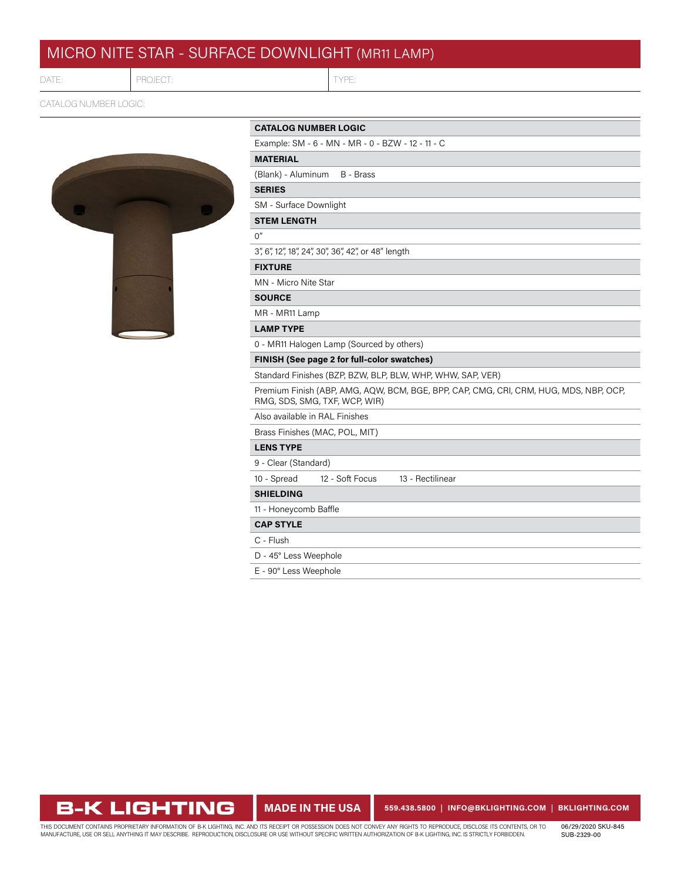# MICRO NITE STAR - SURFACE DOWNLIGHT (MR11 LAMP)

DATE:

## PROJECT: TYPE

CATALOG NUMBER LOGIC:



| <b>CATALOG NUMBER LOGIC</b> |  |  |
|-----------------------------|--|--|
|-----------------------------|--|--|

Example: SM - 6 - MN - MR - 0 - BZW - 12 - 11 - C

## **MATERIAL**

(Blank) - Aluminum B - Brass

## **SERIES**

SM - Surface Downlight

## **STEM LENGTH**

 $O''$ 

3", 6", 12", 18", 24", 30", 36", 42", or 48" length

## **FIXTURE**

MN - Micro Nite Star

### **SOURCE**

MR - MR11 Lamp

## **LAMP TYPE**

0 - MR11 Halogen Lamp (Sourced by others)

**FINISH (See page 2 for full-color swatches)**

Standard Finishes (BZP, BZW, BLP, BLW, WHP, WHW, SAP, VER)

Premium Finish (ABP, AMG, AQW, BCM, BGE, BPP, CAP, CMG, CRI, CRM, HUG, MDS, NBP, OCP, RMG, SDS, SMG, TXF, WCP, WIR)

Also available in RAL Finishes

Brass Finishes (MAC, POL, MIT)

## **LENS TYPE**

9 - Clear (Standard)

10 - Spread 12 - Soft Focus 13 - Rectilinear

## **SHIELDING**

11 - Honeycomb Baffle

## **CAP STYLE**

C - Flush

D - 45° Less Weephole

E - 90° Less Weephole

**B-K LIGHTING** 

**MADE IN THE USA 559.438.5800** | **INFO@BKLIGHTING.COM** | **[BKLIGHTING.COM](https://bklighting.com/)**

THIS DOCUMENT CONTAINS PROPRIETARY INFORMATION OF B-K LIGHTING, INC. AND ITS RECEIPT OR POSSESSION DOES NOT CONVEY ANY RIGHTS TO REPRODUCE, DISCLOSE ITS CONTENTS, OR TO<br>MANUFACTURE, USE OR SELL ANYTHING IT MAY DESCRIBE. RE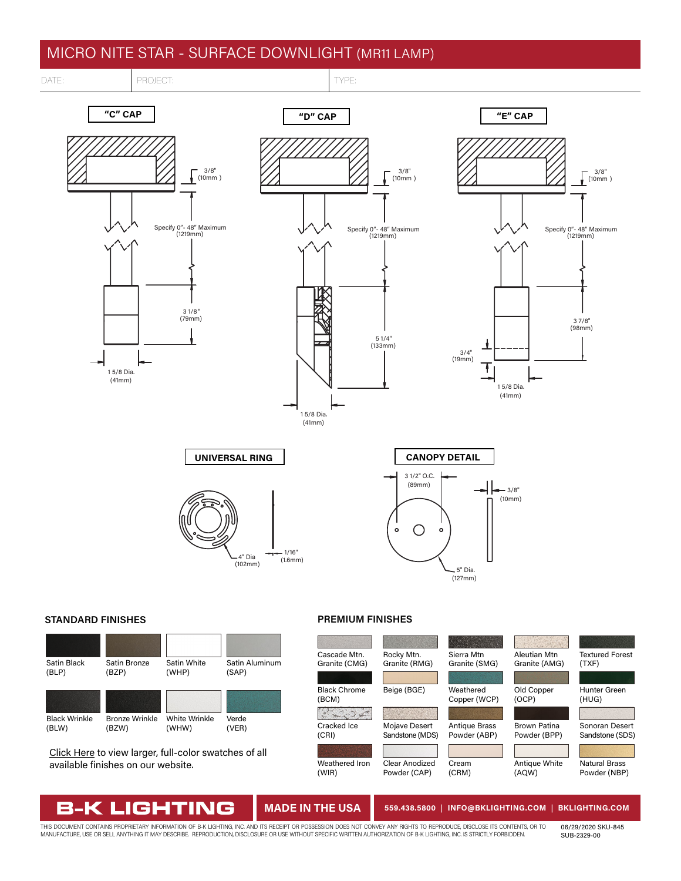# MICRO NITE STAR - SURFACE DOWNLIGHT (MR11 LAMP)

3/8" (10mm )

3 1/8 " (79mm)

Specify 0"- 48" Maximum (1219mm)

## DATE: PROJECT: TYPE:

**"C" CAP**

(41mm) 1 5/8 Dia.



3/8" (10mm )

5 1/4" (133mm)

Specify 0"- 48" Maximum (1219mm)

# **"D" CAP "E" CAP** Specify 0"- 48" Maximum (1219mm)



3/8" (10mm )

4" Dia. 1/16" (1.6mm)

**UNIVERSAL RING**

(102mm)



## **STANDARD FINISHES PREMIUM FINISHES**



[Click Here](https://bklighting.com/index.php/products/finishes-colors.html) to view larger, full-color swatches of all available finishes on our website.

IGHT

VIE

N

B-K



(41mm) 1 5/8 Dia.

## **MADE IN THE USA 559.438.5800** | **INFO@BKLIGHTING.COM** | **[BKLIGHTING.COM](https://bklighting.com/)**

THIS DOCUMENT CONTAINS PROPRIETARY INFORMATION OF B-K LIGHTING, INC. AND ITS RECEIPT OR POSSESSION DOES NOT CONVEY ANY RIGHTS TO REPRODUCE, DISCLOSE ITS CONTENTS, OR TO<br>MANUFACTURE, USE OR SELL ANYTHING IT MAY DESCRIBE. RE

06/29/2020 SKU-845 SUB-2329-00